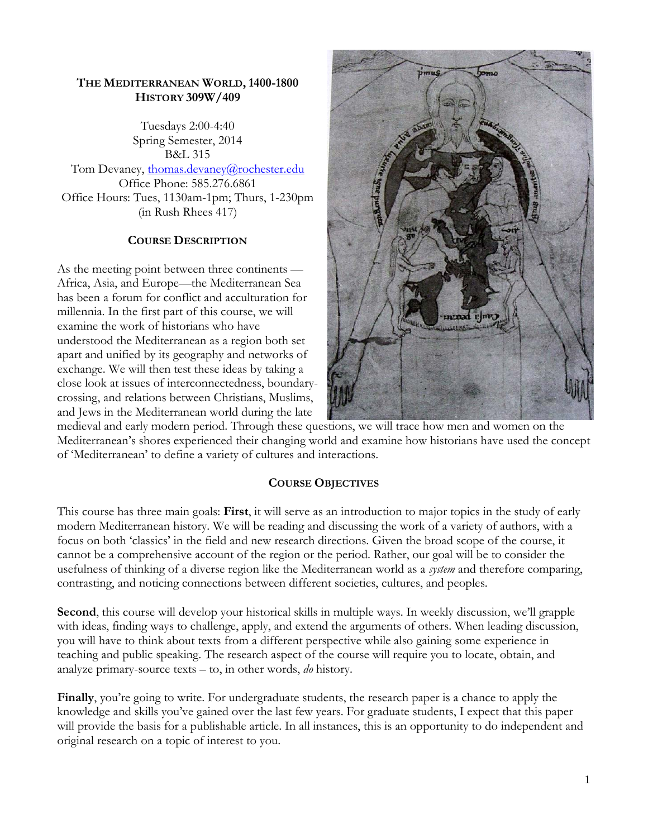#### **THE MEDITERRANEAN WORLD, 1400-1800 HISTORY 309W/409**

Tuesdays 2:00-4:40 Spring Semester, 2014 B&L 315 Tom Devaney, [thomas.devaney@rochester.edu](mailto:thomas.devaney@rochester.edu) Office Phone: 585.276.6861 Office Hours: Tues, 1130am-1pm; Thurs, 1-230pm (in Rush Rhees 417)

### **COURSE DESCRIPTION**

As the meeting point between three continents — Africa, Asia, and Europe—the Mediterranean Sea has been a forum for conflict and acculturation for millennia. In the first part of this course, we will examine the work of historians who have understood the Mediterranean as a region both set apart and unified by its geography and networks of exchange. We will then test these ideas by taking a close look at issues of interconnectedness, boundarycrossing, and relations between Christians, Muslims, and Jews in the Mediterranean world during the late



medieval and early modern period. Through these questions, we will trace how men and women on the Mediterranean's shores experienced their changing world and examine how historians have used the concept of 'Mediterranean' to define a variety of cultures and interactions.

### **COURSE OBJECTIVES**

This course has three main goals: **First**, it will serve as an introduction to major topics in the study of early modern Mediterranean history. We will be reading and discussing the work of a variety of authors, with a focus on both 'classics' in the field and new research directions. Given the broad scope of the course, it cannot be a comprehensive account of the region or the period. Rather, our goal will be to consider the usefulness of thinking of a diverse region like the Mediterranean world as a *system* and therefore comparing, contrasting, and noticing connections between different societies, cultures, and peoples.

**Second**, this course will develop your historical skills in multiple ways. In weekly discussion, we'll grapple with ideas, finding ways to challenge, apply, and extend the arguments of others. When leading discussion, you will have to think about texts from a different perspective while also gaining some experience in teaching and public speaking. The research aspect of the course will require you to locate, obtain, and analyze primary-source texts – to, in other words, *do* history.

**Finally**, you're going to write. For undergraduate students, the research paper is a chance to apply the knowledge and skills you've gained over the last few years. For graduate students, I expect that this paper will provide the basis for a publishable article. In all instances, this is an opportunity to do independent and original research on a topic of interest to you.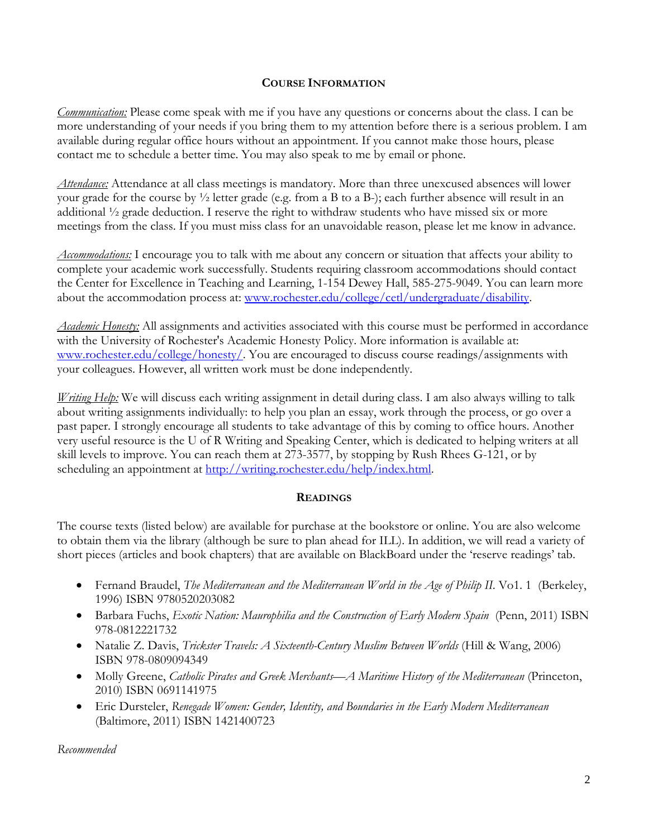#### **COURSE INFORMATION**

*Communication:* Please come speak with me if you have any questions or concerns about the class. I can be more understanding of your needs if you bring them to my attention before there is a serious problem. I am available during regular office hours without an appointment. If you cannot make those hours, please contact me to schedule a better time. You may also speak to me by email or phone.

*Attendance:* Attendance at all class meetings is mandatory. More than three unexcused absences will lower your grade for the course by ½ letter grade (e.g. from a B to a B-); each further absence will result in an additional ½ grade deduction. I reserve the right to withdraw students who have missed six or more meetings from the class. If you must miss class for an unavoidable reason, please let me know in advance.

*Accommodations:* I encourage you to talk with me about any concern or situation that affects your ability to complete your academic work successfully. Students requiring classroom accommodations should contact the Center for Excellence in Teaching and Learning, 1-154 Dewey Hall, 585-275-9049. You can learn more about the accommodation process at: [www.rochester.edu/college/cetl/undergraduate/disability.](http://www.rochester.edu/college/cetl/undergraduate/disability)

*Academic Honesty:* All assignments and activities associated with this course must be performed in accordance with the University of Rochester's Academic Honesty Policy. More information is available at: [www.rochester.edu/college/honesty/.](http://www.rochester.edu/college/honesty/) You are encouraged to discuss course readings/assignments with your colleagues. However, all written work must be done independently.

*Writing Help:* We will discuss each writing assignment in detail during class. I am also always willing to talk about writing assignments individually: to help you plan an essay, work through the process, or go over a past paper. I strongly encourage all students to take advantage of this by coming to office hours. Another very useful resource is the U of R Writing and Speaking Center, which is dedicated to helping writers at all skill levels to improve. You can reach them at 273-3577, by stopping by Rush Rhees G-121, or by scheduling an appointment at [http://writing.rochester.edu/help/index.html.](http://writing.rochester.edu/help/index.html)

### **READINGS**

The course texts (listed below) are available for purchase at the bookstore or online. You are also welcome to obtain them via the library (although be sure to plan ahead for ILL). In addition, we will read a variety of short pieces (articles and book chapters) that are available on BlackBoard under the 'reserve readings' tab.

- Fernand Braudel, *The Mediterranean and the Mediterranean World in the Age of Philip II*. Vo1. 1 (Berkeley, 1996) ISBN 9780520203082
- Barbara Fuchs, *Exotic Nation: Maurophilia and the Construction of Early Modern Spain* (Penn, 2011) ISBN 978-0812221732
- Natalie Z. Davis, *Trickster Travels: A Sixteenth-Century Muslim Between Worlds* (Hill & Wang, 2006) ISBN 978-0809094349
- Molly Greene, *Catholic Pirates and Greek Merchants—A Maritime History of the Mediterranean* (Princeton, 2010) ISBN 0691141975
- Eric Dursteler, *Renegade Women: Gender, Identity, and Boundaries in the Early Modern Mediterranean*  (Baltimore, 2011) ISBN 1421400723

*Recommended*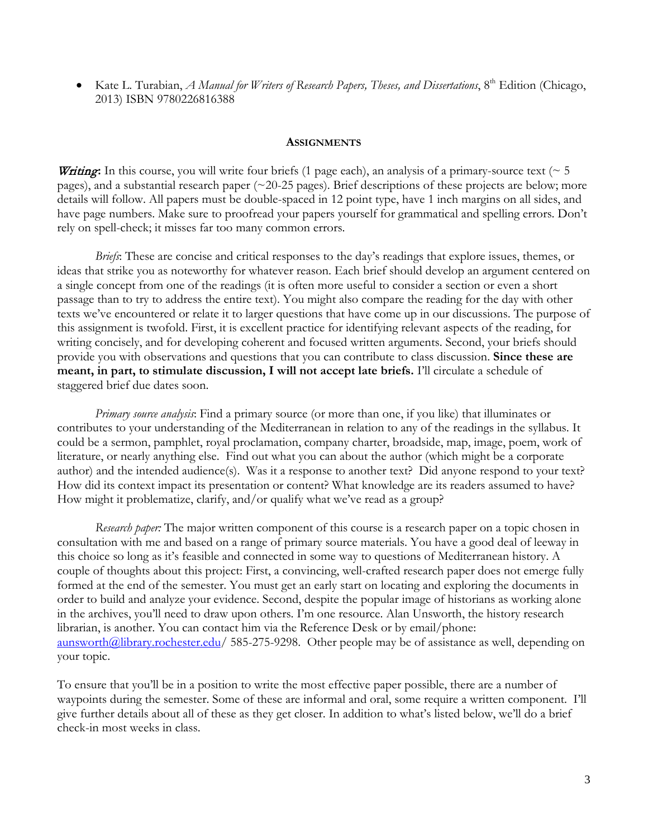Kate L. Turabian, *A Manual for Writers of Research Papers, Theses, and Dissertations*, 8<sup>th</sup> Edition (Chicago, 2013) ISBN 9780226816388

#### **ASSIGNMENTS**

**Writing:** In this course, you will write four briefs (1 page each), an analysis of a primary-source text ( $\sim$  5 pages), and a substantial research paper (~20-25 pages). Brief descriptions of these projects are below; more details will follow. All papers must be double-spaced in 12 point type, have 1 inch margins on all sides, and have page numbers. Make sure to proofread your papers yourself for grammatical and spelling errors. Don't rely on spell-check; it misses far too many common errors.

*Briefs*: These are concise and critical responses to the day's readings that explore issues, themes, or ideas that strike you as noteworthy for whatever reason. Each brief should develop an argument centered on a single concept from one of the readings (it is often more useful to consider a section or even a short passage than to try to address the entire text). You might also compare the reading for the day with other texts we've encountered or relate it to larger questions that have come up in our discussions. The purpose of this assignment is twofold. First, it is excellent practice for identifying relevant aspects of the reading, for writing concisely, and for developing coherent and focused written arguments. Second, your briefs should provide you with observations and questions that you can contribute to class discussion. **Since these are meant, in part, to stimulate discussion, I will not accept late briefs.** I'll circulate a schedule of staggered brief due dates soon.

*Primary source analysis*: Find a primary source (or more than one, if you like) that illuminates or contributes to your understanding of the Mediterranean in relation to any of the readings in the syllabus. It could be a sermon, pamphlet, royal proclamation, company charter, broadside, map, image, poem, work of literature, or nearly anything else. Find out what you can about the author (which might be a corporate author) and the intended audience(s). Was it a response to another text? Did anyone respond to your text? How did its context impact its presentation or content? What knowledge are its readers assumed to have? How might it problematize, clarify, and/or qualify what we've read as a group?

*Research paper:* The major written component of this course is a research paper on a topic chosen in consultation with me and based on a range of primary source materials. You have a good deal of leeway in this choice so long as it's feasible and connected in some way to questions of Mediterranean history. A couple of thoughts about this project: First, a convincing, well-crafted research paper does not emerge fully formed at the end of the semester. You must get an early start on locating and exploring the documents in order to build and analyze your evidence. Second, despite the popular image of historians as working alone in the archives, you'll need to draw upon others. I'm one resource. Alan Unsworth, the history research librarian, is another. You can contact him via the Reference Desk or by email/phone: aunsworth@library.rochester.edu/ 585-275-9298. Other people may be of assistance as well, depending on your topic.

To ensure that you'll be in a position to write the most effective paper possible, there are a number of waypoints during the semester. Some of these are informal and oral, some require a written component. I'll give further details about all of these as they get closer. In addition to what's listed below, we'll do a brief check-in most weeks in class.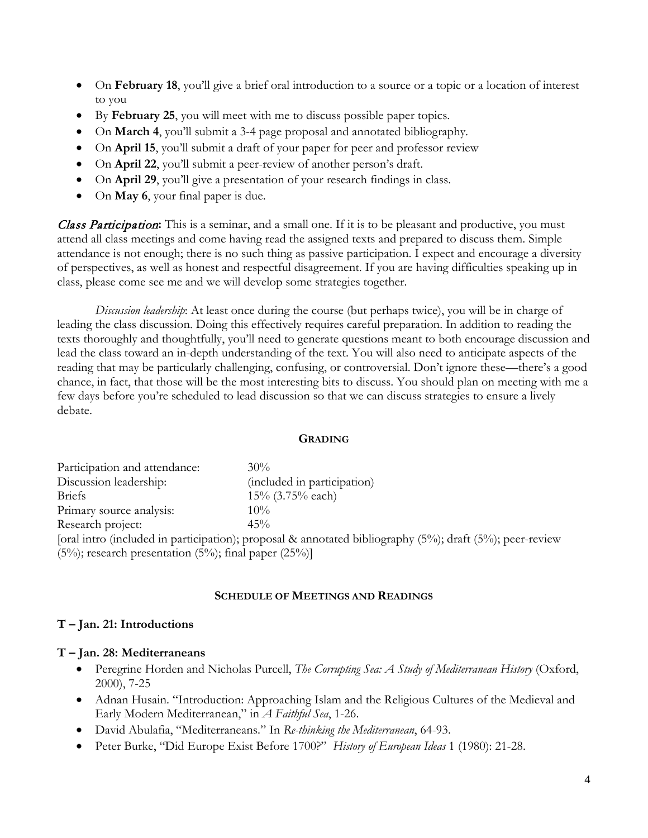- On **February 18**, you'll give a brief oral introduction to a source or a topic or a location of interest to you
- By **February 25**, you will meet with me to discuss possible paper topics.
- On **March 4**, you'll submit a 3-4 page proposal and annotated bibliography.
- On **April 15**, you'll submit a draft of your paper for peer and professor review
- On **April 22**, you'll submit a peer-review of another person's draft.
- On **April 29**, you'll give a presentation of your research findings in class.
- On **May 6**, your final paper is due.

Class Participation**:** This is a seminar, and a small one. If it is to be pleasant and productive, you must attend all class meetings and come having read the assigned texts and prepared to discuss them. Simple attendance is not enough; there is no such thing as passive participation. I expect and encourage a diversity of perspectives, as well as honest and respectful disagreement. If you are having difficulties speaking up in class, please come see me and we will develop some strategies together.

*Discussion leadership*: At least once during the course (but perhaps twice), you will be in charge of leading the class discussion. Doing this effectively requires careful preparation. In addition to reading the texts thoroughly and thoughtfully, you'll need to generate questions meant to both encourage discussion and lead the class toward an in-depth understanding of the text. You will also need to anticipate aspects of the reading that may be particularly challenging, confusing, or controversial. Don't ignore these—there's a good chance, in fact, that those will be the most interesting bits to discuss. You should plan on meeting with me a few days before you're scheduled to lead discussion so that we can discuss strategies to ensure a lively debate.

#### **GRADING**

| Participation and attendance:                                    | $30\%$                                                                                                   |
|------------------------------------------------------------------|----------------------------------------------------------------------------------------------------------|
| Discussion leadership:                                           | (included in participation)                                                                              |
| <b>Briefs</b>                                                    | 15% (3.75% each)                                                                                         |
| Primary source analysis:                                         | $10\%$                                                                                                   |
| Research project:                                                | 45%                                                                                                      |
|                                                                  | [oral intro (included in participation); proposal & annotated bibliography (5%); draft (5%); peer-review |
| $(5\%)$ ; research presentation $(5\%)$ ; final paper $(25\%)$ ] |                                                                                                          |

#### **SCHEDULE OF MEETINGS AND READINGS**

### **T – Jan. 21: Introductions**

### **T – Jan. 28: Mediterraneans**

- Peregrine Horden and Nicholas Purcell, *The Corrupting Sea: A Study of Mediterranean History* (Oxford, 2000), 7-25
- Adnan Husain. "Introduction: Approaching Islam and the Religious Cultures of the Medieval and Early Modern Mediterranean," in *A Faithful Sea*, 1-26.
- David Abulafia, "Mediterraneans." In *Re-thinking the Mediterranean*, 64-93.
- Peter Burke, "Did Europe Exist Before 1700?" *History of European Ideas* 1 (1980): 21-28.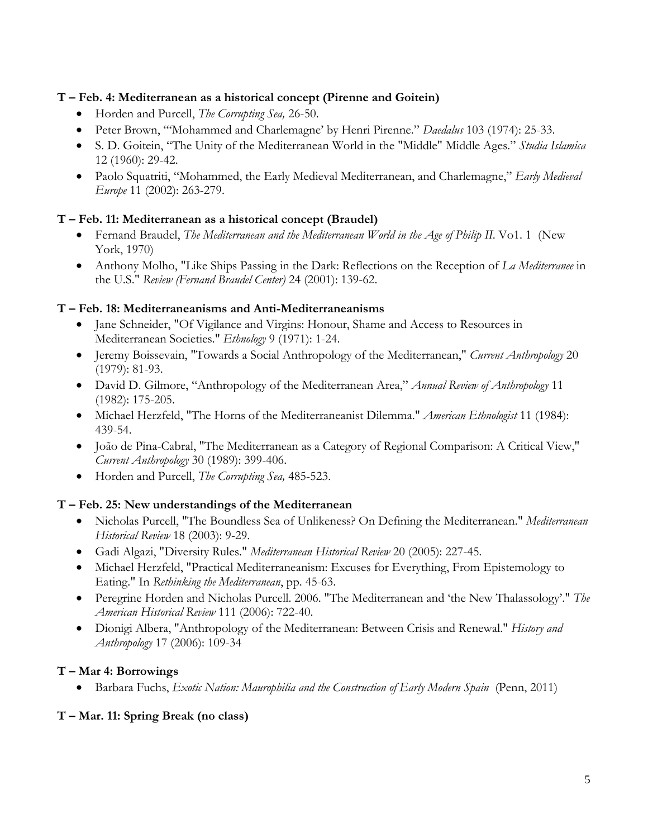### **T – Feb. 4: Mediterranean as a historical concept (Pirenne and Goitein)**

- Horden and Purcell, *The Corrupting Sea,* 26-50.
- Peter Brown, "'Mohammed and Charlemagne' by Henri Pirenne." *Daedalus* 103 (1974): 25-33.
- S. D. Goitein, "The Unity of the Mediterranean World in the "Middle" Middle Ages." *Studia Islamica*  12 (1960): 29-42.
- Paolo Squatriti, "Mohammed, the Early Medieval Mediterranean, and Charlemagne," *Early Medieval Europe* 11 (2002): 263-279.

# **T – Feb. 11: Mediterranean as a historical concept (Braudel)**

- Fernand Braudel, *The Mediterranean and the Mediterranean World in the Age of Philip II*. Vo1. 1 (New York, 1970)
- Anthony Molho, "Like Ships Passing in the Dark: Reflections on the Reception of *La Mediterranee* in the U.S." *Review (Fernand Braudel Center)* 24 (2001): 139-62.

### **T – Feb. 18: Mediterraneanisms and Anti-Mediterraneanisms**

- Jane Schneider, "Of Vigilance and Virgins: Honour, Shame and Access to Resources in Mediterranean Societies." *Ethnology* 9 (1971): 1-24.
- Jeremy Boissevain, "Towards a Social Anthropology of the Mediterranean," *Current Anthropology* 20 (1979): 81-93.
- David D. Gilmore, "Anthropology of the Mediterranean Area," *Annual Review of Anthropology* 11 (1982): 175-205.
- Michael Herzfeld, "The Horns of the Mediterraneanist Dilemma." *American Ethnologist* 11 (1984): 439-54.
- João de Pina-Cabral, "The Mediterranean as a Category of Regional Comparison: A Critical View," *Current Anthropology* 30 (1989): 399-406.
- Horden and Purcell, *The Corrupting Sea,* 485-523.

### **T – Feb. 25: New understandings of the Mediterranean**

- Nicholas Purcell, "The Boundless Sea of Unlikeness? On Defining the Mediterranean." *Mediterranean Historical Review* 18 (2003): 9-29.
- Gadi Algazi, "Diversity Rules." *Mediterranean Historical Review* 20 (2005): 227-45.
- Michael Herzfeld, "Practical Mediterraneanism: Excuses for Everything, From Epistemology to Eating." In *Rethinking the Mediterranean*, pp. 45-63.
- Peregrine Horden and Nicholas Purcell. 2006. "The Mediterranean and 'the New Thalassology'." *The American Historical Review* 111 (2006): 722-40.
- Dionigi Albera, "Anthropology of the Mediterranean: Between Crisis and Renewal." *History and Anthropology* 17 (2006): 109-34

# **T – Mar 4: Borrowings**

• Barbara Fuchs, *Exotic Nation: Maurophilia and the Construction of Early Modern Spain* (Penn, 2011)

# **T – Mar. 11: Spring Break (no class)**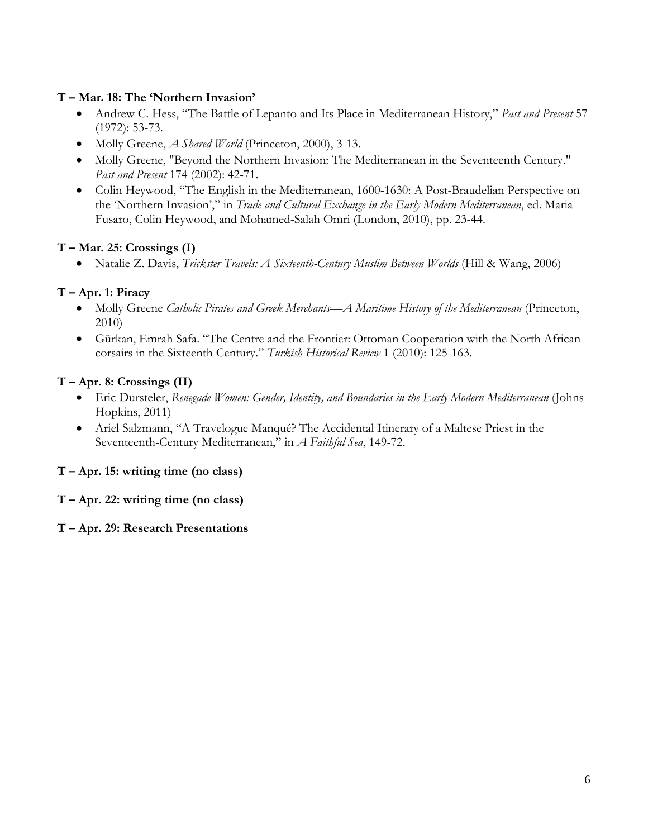### **T – Mar. 18: The 'Northern Invasion'**

- Andrew C. Hess, "The Battle of Lepanto and Its Place in Mediterranean History," *Past and Present* 57 (1972): 53-73.
- Molly Greene, *A Shared World* (Princeton, 2000), 3-13.
- Molly Greene, "Beyond the Northern Invasion: The Mediterranean in the Seventeenth Century." *Past and Present* 174 (2002): 42-71.
- Colin Heywood, "The English in the Mediterranean, 1600-1630: A Post-Braudelian Perspective on the 'Northern Invasion'," in *Trade and Cultural Exchange in the Early Modern Mediterranean*, ed. Maria Fusaro, Colin Heywood, and Mohamed-Salah Omri (London, 2010), pp. 23-44.

# **T – Mar. 25: Crossings (I)**

• Natalie Z. Davis, *Trickster Travels: A Sixteenth-Century Muslim Between Worlds* (Hill & Wang, 2006)

# **T – Apr. 1: Piracy**

- Molly Greene *Catholic Pirates and Greek Merchants—A Maritime History of the Mediterranean* (Princeton, 2010)
- Gürkan, Emrah Safa. "The Centre and the Frontier: Ottoman Cooperation with the North African corsairs in the Sixteenth Century." *Turkish Historical Review* 1 (2010): 125-163.

### **T – Apr. 8: Crossings (II)**

- Eric Dursteler, *Renegade Women: Gender, Identity, and Boundaries in the Early Modern Mediterranean* (Johns Hopkins, 2011)
- Ariel Salzmann, "A Travelogue Manqué? The Accidental Itinerary of a Maltese Priest in the Seventeenth-Century Mediterranean," in *A Faithful Sea*, 149-72.

# **T – Apr. 15: writing time (no class)**

### **T – Apr. 22: writing time (no class)**

### **T – Apr. 29: Research Presentations**